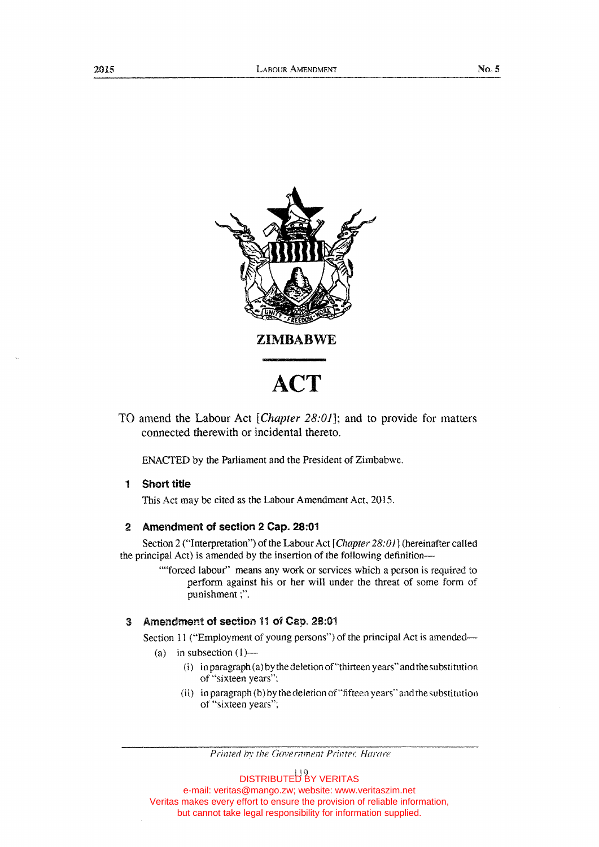

TO amend the Labour Act *[Chapter 28:01];* and to provide for matters connected therewith or incidental thereto.

ENACTED by the Parliament and the President of Zimbabwe.

# 1 Short title

This Act may be cited as the Labour Amendment Act, 2015.

# 2 Amendment of section 2 Cap. 28:01

Section 2 ("Interpretation") of the Labour Act [Chapter 28:01] (hereinafter called the principal Act) is amended by the insertion of the following definition-

> ""forced labour" means any work or services which a person is required to perform against his or her will under the threat of some form of punishment;".

# 3 Amendment of section 11 of Cap. 28:01

Section 11 ("Employment of young persons") of the principal Act is amended-

- (a) in subsection  $(1)$ 
	- (i) in paragraph (a) by the deletion of"thirteen years" and the substitution of "sixteen years":
	- (ii) in paragraph (b) by the deletion of"fifteen years" and the substitution of "sixteen years";

Printed by the Government Printer, Harare

DISTRIBUTED BY VERITAS e-mail: veritas@mango.zw; website: www.veritaszim.net Veritas makes every effort to ensure the provision of reliable information, but cannot take legal responsibility for information supplied.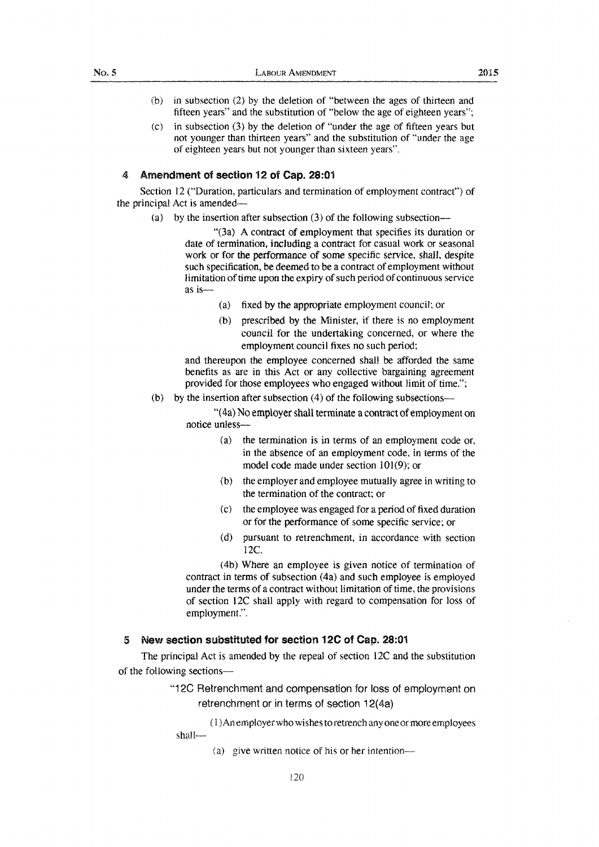- (b) in subsection (2) by the deletion of "between the ages of thirteen and fifteen years" and the substitution of "below the age of eighteen years";
- (c) in subsection (3) by the deletion of "under the age of fifteen years but not younger than thirteen years" and the substitution of "under the age of eighteen years but not younger than sixteen years".

### 4 Amendment of section 12 of Cap. 28:01

Section 12 ("Duration, particulars and termination of employment contract") of the principal Act is amended-

(a) by the insertion after subsection (3) of the following subsection-

"(3a) A contract of employment that specifies its duration or date of termination, including a contract for casual work or seasonal work or for the performance of some specific service, shall, despite such specification, be deemed to be a contract of employment without limitation of time upon the expiry of such period of continuous service as is-

- (a) fixed by the appropriate employment council; or
- (b) prescribed by the Minister, if there is no employment council for the undertaking concerned, or where the employment council fixes no such period;

and thereupon the employee concerned shall be afforded the same benefits as are in this Act or any collective bargaining agreement provided for those employees who engaged without limit of time.";

(b) by the insertion after subsection  $(4)$  of the following subsections--

"( 4a) No employer shall terminate a contract of employment on notice unless--

- (a) the termination is in terms of an employment code or, in the absence of an employment code, in terms of the model code made under section 101(9); or
- (b) the employer and employee mutually agree in writing to the termination of the contract; or
- (c) the employee was engaged for a period of fixed duration or for the performance of some specific service; or
- (d) pursuant to retrenchment, in accordance with section 12C.

(4b) Where an employee is given notice of termination of contract in terms of subsection (4a) and such employee is employed under the terms of a contract without limitation of time, the provisions of section l2C shall apply with regard to compensation for loss of employment.".

## 5 New section substituted for section 12C of Cap. 28:01

The principal Act is amended by the repeal of section 12C and the substitution of the following sections-

> "12C Retrenchment and compensation for loss ot employment on retrenchment or in terms of section 12(4a)

( 1 )An employer who wishes to retrench any one or more employees shall-

(a) give written notice of his or her intention---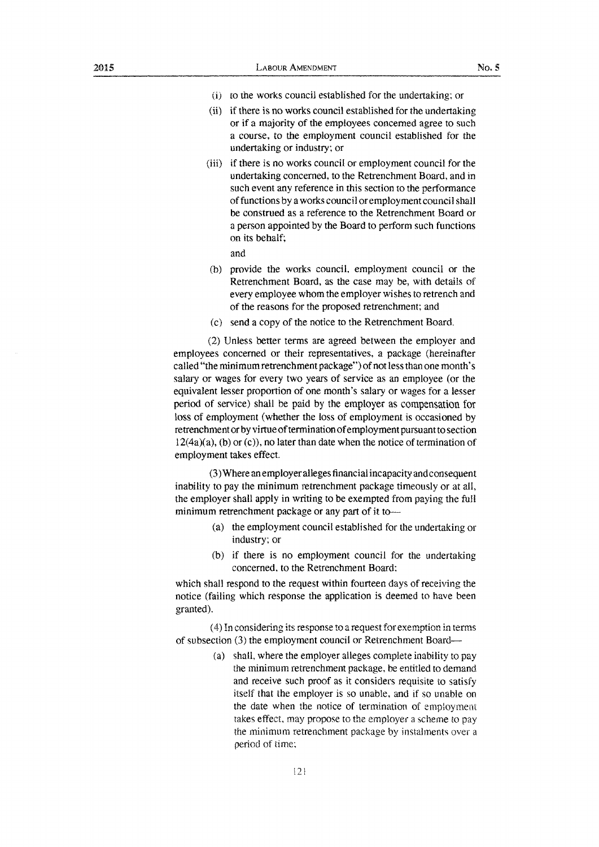- (i) ro the works council established for the undertaking; or
- (ii) if there is no works council established for the undertaking or if a majority of the employees concerned agree to such a course, to the employment council established for the undertaking or industry; or
- (iii) if there is no works council or employment council for the undertaking concerned, to the Retrenchment Board, and in such event any reference in this section to the performance of functions by a works council or employment council shall be construed as a reference to the Retrenchment Board or a person appointed by the Board to perform such functions on its behalf;

and

- (b) provide the works council. employment council or the Retrenchment Board, as the case may be, with details of every employee whom the employer wishes to retrench and of the reasons for the proposed retrenchment; and
- (c) send a copy of the notice to the Retrenchment Board.

(2) Unless better terms are agreed between the employer and employees concerned or their representatives, a package (hereinafter called "the minimum retrenchment package") of not less than one month's salary or wages for every two years of service as an employee (or the equivalent lesser proportion of one month's salary or wages for a lesser period of service) shall be paid by the employer as compensation for loss of employment (whether the loss of employment is occasioned by retrenchment or by virtue of termination of employment pursuantto section  $l2(4a)(a)$ , (b) or (c)), no later than date when the notice of termination of employment takes effect.

(3) Where an employer aHeges financial incapacity and consequent inability to pay the minimum retrenchment package timeously or at ail, the employer shall apply in writing to be exempted from paying the full minimum retrenchment package or any part of it to-

- (a) the employment council established for the undertaking or industry; or
- (b) if there is no employment council for the undertaking concerned. to the Retrenchment Board:

which shall respond to the request within fourteen days of receiving the notice (failing which response the application is deemed to have been granted).

( 4) In consideiing its response to a request for exemption in terms of subsection (3) the employment council or Retrenchment Board-

> (a) shall, where the employer alleges complete inability to pay the minimum retrenchment package. be entitled to demand and receive such proof as it considers requisite to satisfy itself that the employer is so unable, and if so unable on the date when the notice of termination of employment takes effect, may propose to the employer a scheme to pay the minimum retrenchment package by instalments over a period of time: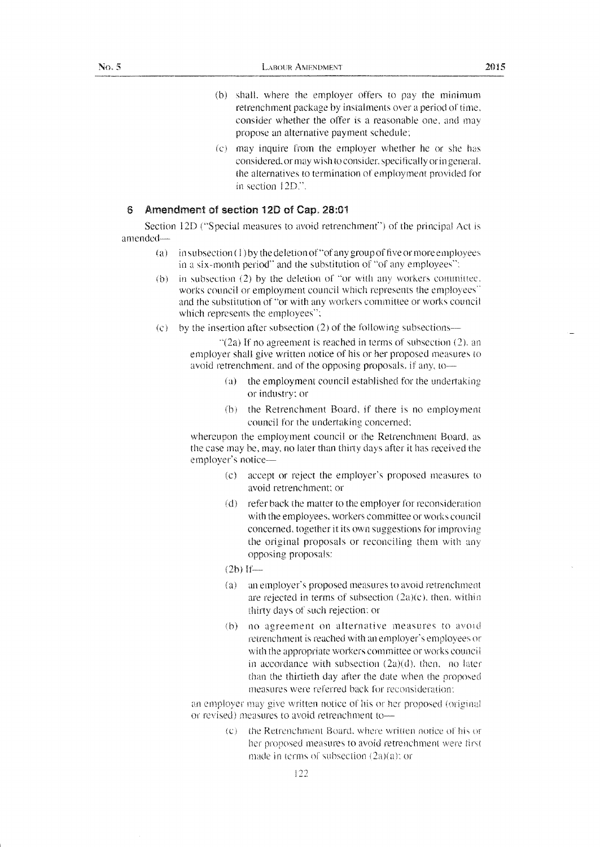- $(b)$  shall, where the employer offers to pay the minimum retrenchment package by instalments over a period of time, consider whether the offer is a reasonable one, and may propose an alternative payment schedule;
- (c) may inquire from the employer whether he or she has considered, or may wish to consider, specifically or in general. the alternatives to termination of employment provided for in section 12D.".

# 6 Amendment of section **120** of Cap. 28:01

Section 12D ("Special measures to avoid retrenchment") of the principal Act is amended-

- (a) in subsection (1) by the deletion of "of any group of five or more employees in a six-month period" and the substitution of ''of any employees":
- (b) in subsection (2) by the deletion of "or with any workers committee. works council or employment council which represents the employees'' and the substitution of "or with any workers committee or works council which represents the employees'':
- $\phi$  by the insertion after subsection (2) of the following subsections—

 $\lceil (2a) \rceil$  if no agreement is reached in terms of subsection (2), an employer shall give written notice of his or her proposed measures to avoid retrenchment, and of the opposing proposals, if any, to-

- (a) the employment council established for the undertaking or industry: or
- (h) the Retrenchment Board, if there is no employment council for the undertaking concerned:

whereupon the employment council or the Retrenchment Board, as the case may be, may, no later than thirty days after it has received the employer's notice-

- (c) accept or reject the employer's proposed measures to avoid retrenchment; or
- (d) refer back the matter to the employer for reconsideration with the employees, workers committee or works council concerned. together it its own suggestions for improving the original proposals or reconciling them with any opposing proposals:

 $(2b)$  If-

- $(a)$ an employer's proposed measures to avoid retrenchment are rejected in terms of subsection (2a)(c), then, within thirty days of such rejection; or
- \b) no agreement on alternative measures to avoicl retrenchment is reached with an employer's employees or with the appropriate workers committee or works council. in accordance with subsection (2a)(d), then, no later than the thirtieth day after the date when the proposed measures were referred back for reconsideration:

an employer may give written notice of his or her proposed (original or revised) measures to avoid retrenchment to--

> $(c)$  the Retrenchment Board, where written notice of his or her proposed measures to avoid retrenchment were first made in terms of subsection  $(2a)(a)$ ; or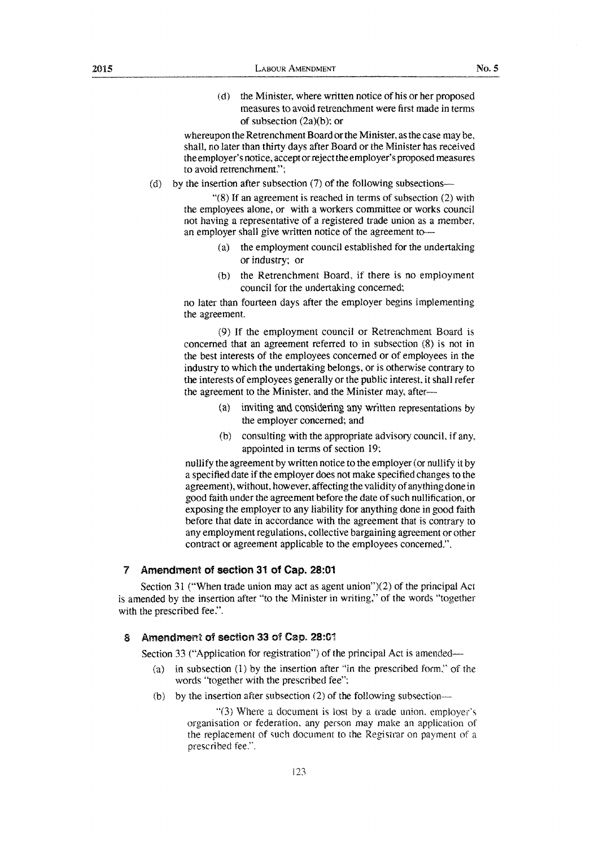(d) the Minister, where written notice of his or her proposed measures to avoid retrenchment were first made in terms of subsection (2a)(b): or

whereupon the Retrenchment Board or the Minister, as the case may be. shall, no later than thirty days after Board or the Minister has received the employer's notice, accept or reject the employer's proposed measures to avoid retrenchment.";

(d) by the insertion after subsection  $(7)$  of the following subsections--

"(8) If an agreement is reached in terms of subsection (2) with the employees alone, or with a workers committee or works council not having a representative of a registered trade union as a member, an employer shall give written notice of the agreement to---

- (a) the employment council established for the undertaking or industry; or
- (b) the Retrenchment Board, if there is no employment council for the undertaking concerned;

no later than fourteen days after the employer begins implementing the agreement.

(9) If the employment council or Retrenchment Board is concerned that an agreement referred to in subsection (8) is not in the best interests of the employees concerned or of employees in the industry to which the undertaking belongs, or is otherwise contrary to the interests of employees generally or the public interest, it shall refer the agreement to the Minister, and the Minister may, after-

- (a) inviting and considering any written representations by the employer concerned; and
- (b) consulting with the appropriate advisory council, if any, appointed in terms of section 19;

nullify the agreement by written notice to the employer (or nullify it by a specified date if the employer does not make specified changes to the agreement), without, however, affecting the validity of anything done in good faith under the agreement before the date of such nullification, or exposing the employer to any liability for anything done in good faith before that date in accordance with the agreement that is contrary to any employment regulations, collective bargaining agreement or other contract or agreement applicable to the employees concerned.".

# 7 Amendment of **section** 31 of **Cap. 28:01**

Section 31 ("When trade union may act as agent union")(2) of the principal Act is amended by the insertion after "to the Minister in writing," of the words "together with the prescribed fee,".

# 8 Amendment of section 33 of Cap. 28:01

Section 33 ("Application for registration") of the principal Act is amended—

- (a) in subsection (1) by the insertion after "in the prescribed form," of the words "together with the prescribed fee";
- (b) by the insertion after subsection  $(2)$  of the following subsection---

"(3) Where a document is lost by a trade union, employer's organisation or federation, any person may make an application of the replacement of such document to the Registrar on payment of a prescribed fee.".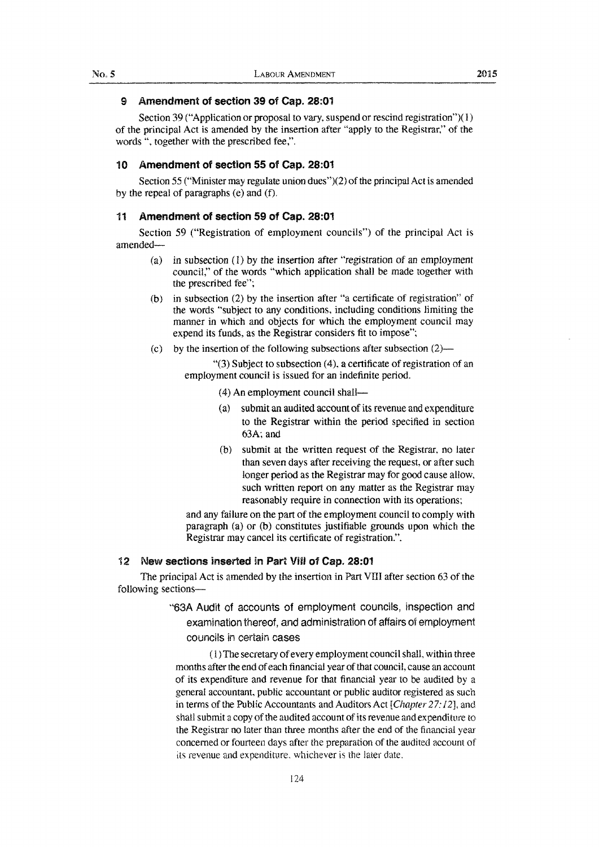## 9 Amendment of section 39 of Cap. 28:01

Section 39 ("Application or proposal to vary, suspend or rescind registration")(1) of the principal Act is amended by the insertion after "apply to the Registrar," of the words", together with the prescribed fee,".

### 10 Amendment of section 55 of Cap. 28:01

Section 55 ("Minister may regulate union dues")(2) of the principal Act is amended by the repeal of paragraphs (e) and (f).

### 11 Amendment of section 59 of Cap. 28:01

Section 59 ("Registration of employment councils") of the principal Act is amended-

- *(* a) in subsection (I) by the insertion after "registration of an employment council," of the words "which application shall be made together with the prescribed fee";
- (b) in subsection (2) by the insertion after "a certificate of registration" of the words "subject to any conditions, including conditions limiting the manner in which and objects for which the employment council may expend its funds, as the Registrar considers fit to impose";
- (c) by the insertion of the following subsections after subsection  $(2)$ —

" $(3)$  Subject to subsection  $(4)$ , a certificate of registration of an employment council is issued for an indefinite period.

- (4) An employment council shall-
- (a) submit an audited account of its revenue and expenditure to the Registrar within the period specified in section 63A; and
- (b) submit at the written request of the Registrar, no later than seven days after receiving the request, or after such longer period as the Registrar may for good cause allow, such written report on any matter as the Registrar may reasonably require in connection with its operations;

and any failure on the part of the employment council to comply with paragraph (a) or (b) constitutes justifiable grounds upon which the Registrar may cancel its certificate of registration.".

## 12 New sections inserted in Part Vill of Cap. 28:01

The principal Act is amended by the insertion in Part VITI after section 63 of the following sections-

> ''63A Audit of accounts of employment councils, inspection and examination thereof, and administration of affairs of employment councils in certain cases

( l) The secretary of every employment council shall, within three months after the end of each financial year of that council, cause an account of its expenditure and revenue for that financial year to be audited by a general accountant, public accountant or public auditor registered as such in terms of the Public Accountants and Auditors Act [Chapter 27: 12], and shall submit a copy of the audited account of its revenue and expenditure to the Registrar no later than three months after the end of the financial year concerned or fourteen days after the preparation of the audited account of its revenue and expenditure. whichever is the later date.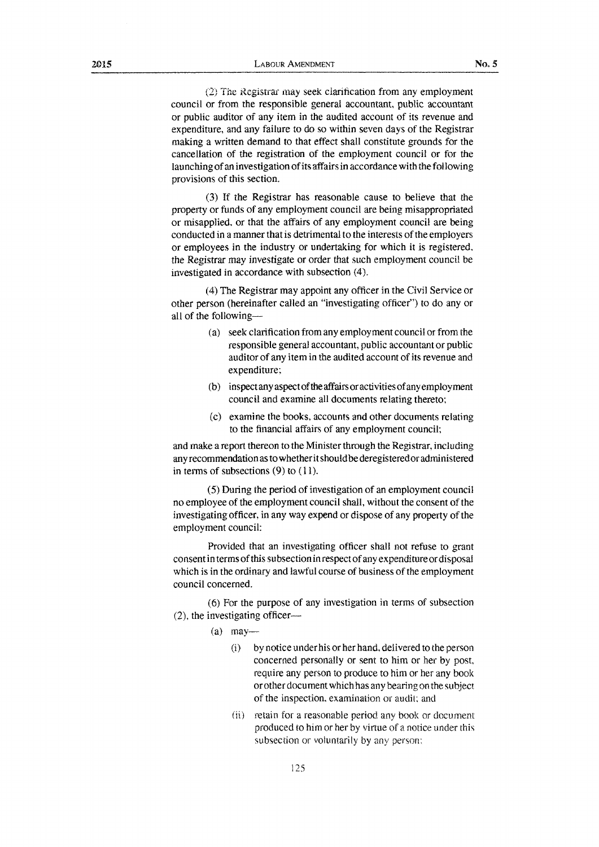*l2)* The Registrar 1nay seek clarification from any employment

council or from the responsible general accountant, public accountant or public auditor of any item in the audited account of its revenue and expenditure, and any failure to do so within seven days of the Registrar making a written demand to that effect shall constitute grounds for the cancellation of the registration of the employment council or for the launching of an investigation of its affairs in accordance with the following provisions of this section.

(3) If the Registrar has reasonable cause to believe that the property or funds of any employment council are being misappropriated or misapplied, or that the affairs of any employment council are being conducted in a manner that is detrimental to the interests of the employers or employees in the industry or undertaking for which it is registered, the Registrar may investigate or order that such employment council be investigated in accordance with subsection (4).

(4) The Registrar may appoint any officer in the Civil Service or other person (hereinafter called an "investigating officer") to do any or all of the following-

- (a) seek clarification from any employment council or from the responsible general accountant, public accountant or public auditor of any item in the audited account of its revenue and expenditure:
- (b) inspect any aspect of the affairs or activities of any employment council and examine all documents relating thereto;
- (c) examine the books, accounts and other documents relating to the financial affairs of any employment council;

and make a report thereon to the Minister through the Registrar, including any recommendation as to whether it should be deregistered or administered in terms of subsections  $(9)$  to  $(11)$ .

( 5) During the period of investigation of an employment council no employee of the employment council shall, without the consent of the investigating officer, in any way expend or dispose of any property of the employment council:

Provided that an investigating officer shall not refuse to grant consent in terms of this subsection in respect of any expenditure or disposal which is in the ordinary and lawful course of business of the employment council concerned.

(6) For the purpose of any investigation in terms of subsection  $(2)$ , the investigating officer---

 $(a)$  may-

- (i) by notice under his or her hand, delivered to the person concerned personally or sent to him or her by post, require any person to produce to him or her any book or other document which has any bearing on the subject of the inspection, examination or audit; and
- (ii) retain for a reasonable period any book or document produced to him or her by virtue of a notice under this subsection or voluntarily by any person: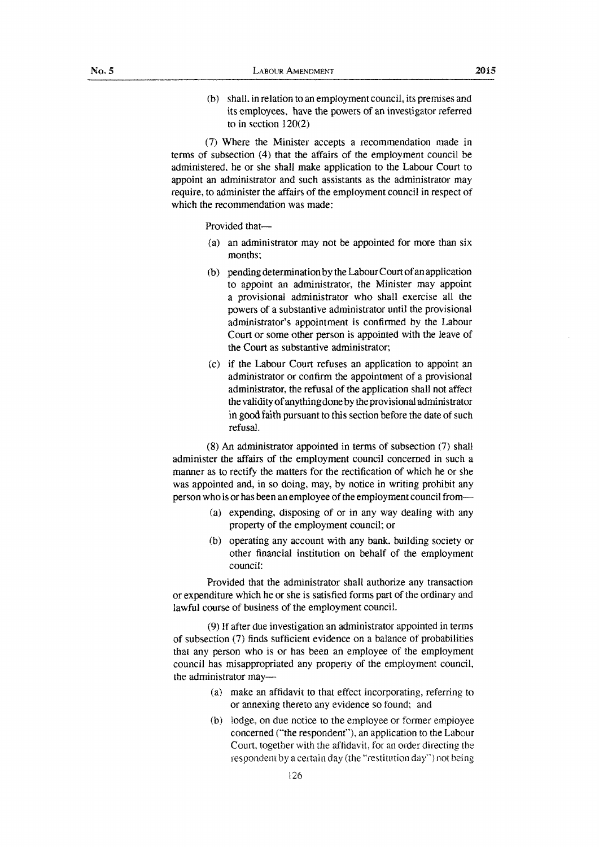(b) shall, in relation to an employment council, its premises and its employees, have the powers of an investigator referred to in section 120(2)

(7) Where the Minister accepts a recommendation made in terms of subsection (4) that the affairs of the employment council be administered. he or she shall make application to the Labour Court to appoint an administrator and such assistants as the administrator may require, to administer the affairs of the employment council in respect of which the recommendation was made:

Provided that-

- (a) an administrator may not be appointed for more than six months:
- (b) pending determination by the Labour Court of an application to appoint an administrator, the Minister may appoint a provisional administrator who shall exercise all the powers of a substantive administrator until the provisional administrator's appointment is confirmed by the Labour Court or some other person is appointed with the leave of the Court as substantive administrator;
- (c) if the Labour Court refuses an application to appoint an administrator or confirm the appointment of a provisional administrator, the refusal of the application shall not affect the validity of anything done by the provisional administrator in good faith pursuant to this section before the date of such refusaL

(8) An administrator appointed in terms of subsection (7) shall administer the affairs of the employment council concerned in such a manner as to rectify the matters for the rectification of which he or she was appointed and, in so doing, may, by notice in writing prohibit any person who is or has been an employee of the employment council from-

- (a) expending, disposing of or in any way dealing with any property of the employment council; or
- (b) operating any account with any bank. building society or other financial institution on behalf of the employment council:

Provided that the administrator shall authorize any transaction or expenditure which he or she is satisfied forms part of the ordinary and lawful course of business of the employment council.

(9) If after due investigation an administrator appointed in terms of subsection (7) finds sufficient evidence on a balance of probabilities that any person who is or has been an employee of the employment council has misappropriated any property of the employment council, the administrator may-

- ( a) make an affidavit to that effect incorporating, referring to or annexing thereto any evidence so found; and
- (b) lodge, on due notice to the employee or former employee concerned ("the respondent"), an application to the Labour Court, together with the affidavit, for an order directing the respondent by a certain day (the "restitution day") not being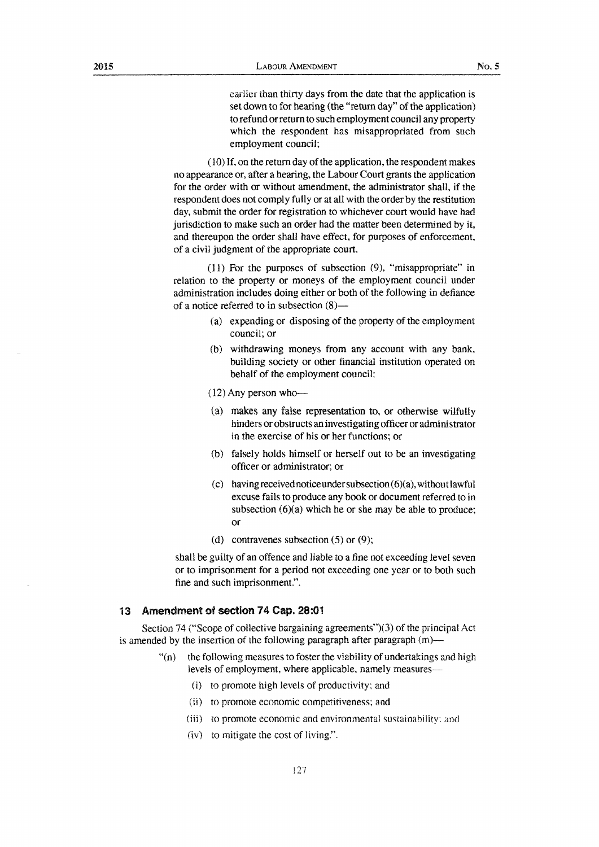eariier than thirty days from the date that the application is set down to for hearing (the "return day" of the application) to refund or return to such employment council any property which the respondent has misappropriated from such employment council;

(10) If, on the return day of the application, the respondent makes no appearance or, after a hearing, the Labour Court grants the application for the order with or without amendment, the administrator shall, if the respondent does not comply fully or at all with the order by the restitution day, submit the order for registration to whichever court would have had jurisdiction to make such an order had the matter been determined by it, and thereupon the order shall have effect, for purposes of enforcement, of a civil judgment of the appropriate court.

( 11) For the purposes of subsection (9), "misappropriate" in relation to the property or moneys of the employment council under administration includes doing either or both of the following in defiance of a notice referred to in subsection (8)-

- *(* a) expending or disposing of the property of the employment council; or
- (b) withdrawing moneys from any account with any bank, building society or other financial institution operated on behalf of the employment council:

 $(12)$  Any person who---

- (a) makes any false representation to, or otherwise wilfully hinders or obstructs an investigating officer or administrator in the exercise of his or her functions; or
- (b) falsely holds himself or herself out to be an investigating officer or administrator; or
- (c) having received notice under subsection  $(6)(a)$ , without lawful excuse fails to produce any book or document referred to in subsection  $(6)(a)$  which he or she may be able to produce; or
- (d) contravenes subsection (5) or (9);

shall be guilty of an offence and liable to a fine not exceeding level seven or to imprisonment for a period not exceeding one year or to both such fine and such imprisonment.".

### 13 Amendment of section 74 Cap. 28:01

Section 74 ("Scope of collective bargaining agreements")(3) of the principal Act is amended by the insertion of the following paragraph after paragraph (m)—

- $\lq$ "(n) the following measures to foster the viability of undertakings and high levels of employment, where applicable, namely measures-
	- (i) to promote high levels of productivity: and
	- (ii) to promote economic competitiveness: and
	- (iii) to promote economic and environmental sustainabiilty: and
	- (iv) to mitigate the cost of living.".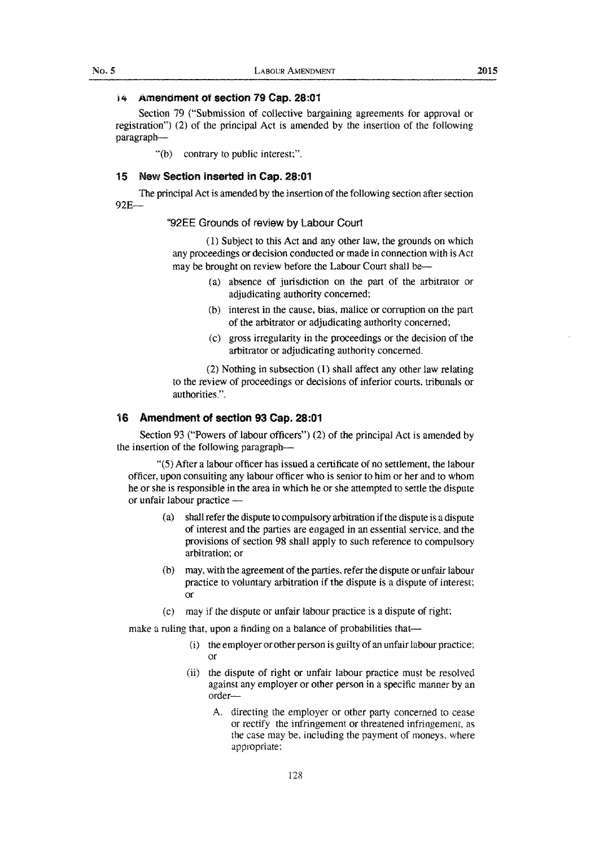#### 14 Amendment of section 79 Cap. 28:01

Section 79 ("Submission of collective bargaining agreements for approval or registration") (2) of the principal Act is amended by the insertion of the following paragraph-

"(b) contrary to public interest:".

### 15 New Section inserted in Cap. 28:01

The principal Act is amended by the insertion of the following section after section 92E-

#### "92EE Grounds of review by Labour Court

( 1) Subject to this Act and any other law, the grounds on which any proceedings or decision conducted or made in connection with is Act may be brought on review before the Labour Court shall be-

- ( a) absence of jurisdiction on the part of the arbitrator or adjudicating authority concerned;
- (b) interest in the cause, bias, malice or corruption on the part of the arbitrator or adjudicating authority concerned;
- (c) gross irregularity in the proceedings or the decision of the arbitrator or adjudicating authority concerned.

(2) Nothing in subsection ( 1) shall affect any other law relating to the review of proceedings or decisions of inferior courts. tribunals or authorities.".

#### 16 Amendment of section 93 Cap. 28:01

Section 93 ("Powers of labour officers") (2) of the principal Act is amended by the insertion of the following paragraph-

"(5) Mter a labour officer has issued a certificate of no settlement, the labour officer, upon consulting any labour officer who is senior to him or her and to whom he or she is responsible in the area in which he or she attempted to settle the dispute or unfair labour practice -

- (a) shall refer the dispute to compulsory arbitration if the dispute is a dispute of interest and the parties are engaged in an essential service, and the provisions of section 98 shall apply to such reference to compulsory arbitration; or
- may, with the agreement of the parties, refer the dispute or unfair labour practice to voluntary arbitration if the dispute is a dispute of interest; or
- (c) may if the dispute or unfair labour practice is a dispute of right:

make a ruling that, upon a finding on a balance of probabilities that-

- (i) the employer or other person is guilty of an unfair labour practice; or
- (ii) the dispute of right or unfair labour practice must be resolved against any employer or other person in a specific manner by an order-
	- A. directing the employer or other party concerned to cease or rectify the infringement or threatened infringement. as the case may be, including the payment of moneys, where appropriate;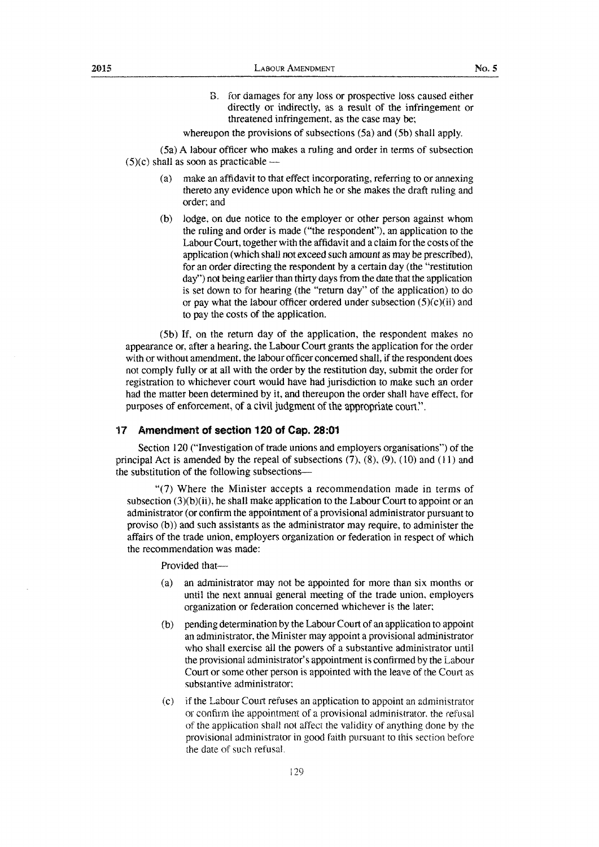B. for damages for any loss or prospective loss caused either directly or indirectly, as a result of the infringement or threatened infringement, as the case may be;

whereupon the provisions of subsections (5a) and (5b) shall apply.

(5a) A labour officer who makes a ruling and order in terms of subsection  $(5)(c)$  shall as soon as practicable --

- (a) make an affidavit to that effect incorporating, referring to or annexing thereto any evidence upon which he or she makes the draft ruling and order; and
- (b) lodge, on due notice to the employer or other person against whom the ruling and order is made ("the respondent"), an application to the Labour Court, together with the affidavit and a claim for the costs of the application (which shall not exceed such amount as may be prescribed), for an order directing the respondent by a certain day (the "restitution day") not being earlier than thirty days from the date that the application is set down to for hearing (the "return day" of the application) to do or pay what the labour officer ordered under subsection  $(5)(c)(ii)$  and to pay the costs of the application.

(5b) If, on the return day of the application, the respondent makes no appearance or, after a hearing, the Labour Court grants the application for the order with or without amendment, the labour officer concerned shall, if the respondent does not comply fully or at all with the order by the restitution day, submit the order for registration to whichever court would have had jurisdiction to make such an order had the matter been determined by it, and thereupon the order shall have effect, for purposes of enforcement, of a civil judgment of the appropriate court.".

#### 17 **Amendment of section 120 of Cap. 28:01**

Section 120 ("Investigation of trade unions and employers organisations'') of the principal Act is amended by the repeal of subsections  $(7)$ ,  $(8)$ ,  $(9)$ ,  $(10)$  and  $(11)$  and the substitution of the following subsections-

"(?) Where the Minister accepts a recommendation made in terms of subsection  $(3)(b)(ii)$ , he shall make application to the Labour Court to appoint or an administrator (or confirm the appointment of a provisional administrator pursuant to proviso (b)) and such assistants as the administrator may require, to administer the affairs of the trade union, employers organization or federation in respect of which the recommendation was made:

Provided that-

- (a) an administrator may not be appointed for more than six months or until the next annual general meeting of the trade union, employers organization or federation concerned whichever is the later:
- (b) pending determination by the Labour Court of an application to appoint an administrator, the Minister may appoint a provisional administrator who shall exercise all the powers of a substantive administrator until the provisional administrator's appointment is confirmed by the Labour Court or some other person is appointed with the leave of the Court as substantive administrator:
- (c) if the Labour Court refuses an application to appoint an administrator or confirm the appointment of a provisional administrator. the refusal of the application shall not affect the validity of anything done by the provisional administrator in good faith pursuant to this section before the date of such refusal.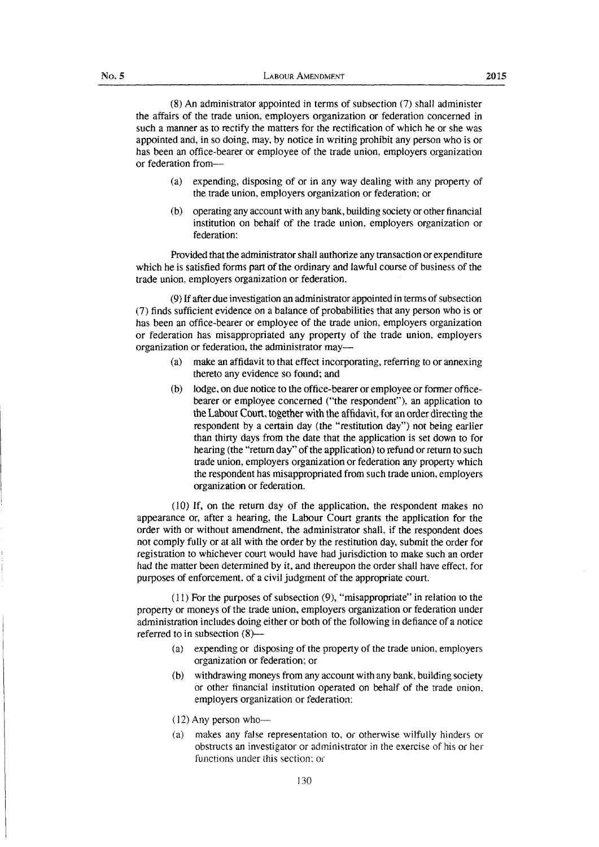2015

{8) An administrator appointed in terms of subsection (7) shall administer the affairs of the trade union, employers organization or federation concerned in such a manner as to rectify the matters for the rectification of which he or she was appointed and, in so doing, may, by notice in writing prohibit any person who is or has been an office-bearer or employee of the trade union, employers organization or federation from-

- ( a) expending, disposing of or in any way dealing with any property of the trade union, employers organization or federation; or
- (b) operating any account with any bank, building society or other financial institution on behalf of the trade union, employers organization or federation:

Provided that the administrator shall authorize any transaction or expenditure which he is satisfied forms part of the ordinary and lawful course of business of the trade union, employers organization or federation.

(9) If after due investigation an administrator appointed in terms of subsection (7) finds sufficient evidence on a balance of probabilities that any person who is or has been an office-bearer or employee of the trade union, employers organization or federation has misappropriated any property of the trade union, employers organization or federation, the administrator may-

- ( a) make an affidavit to that effect incorporating, referring to or annexing thereto any evidence so found; and
- (b) lodge, on due notice to the office-bearer or employee or former officebearer or employee concerned ("the respondent"), an application to the Labour Court, together with the affidavit, for an order directing the respondent by a certain day (the "restitution day") not being earlier than thirty days from the date that the application is set down to for hearing (the "return day" of the application) to refund or return to such trade union, employers organization or federation any property which the respondent has misappropriated from such trade union, employers organization or federation.

(10) If, on the return day of the application, the respondent makes no appearance or, after a hearing, the Labour Court grants the application for the order with or without amendment, the administrator shall, if the respondent does not comply fully or at all with the order by the restitution day, submit the order for registration to whichever court would have had jurisdiction to make such an order had the matter been determined by it, and thereupon the order shall have effect, for purposes of enforcement, of a civil judgment of the appropriate court.

( 11) For the purposes of subsection (9), "misappropriate" in relation to the property or moneys of the trade union, employers organization or federation under administration includes doing either or both of the following in defiance of a notice referred to in subsection (8)-

- (a) expending or disposing of the property of the trade union. employers organization or federation; or
- (b) withdrawing moneys from any account with any bank, building society or other financial institution operated on behalf of the trade union. employers organization or federation:
- $(12)$  Any person who--
- ( a) makes any false representation to, or othenvise wilfully hinders or obstructs an investigator or administrator in the exercise of his or her functions under this section; or